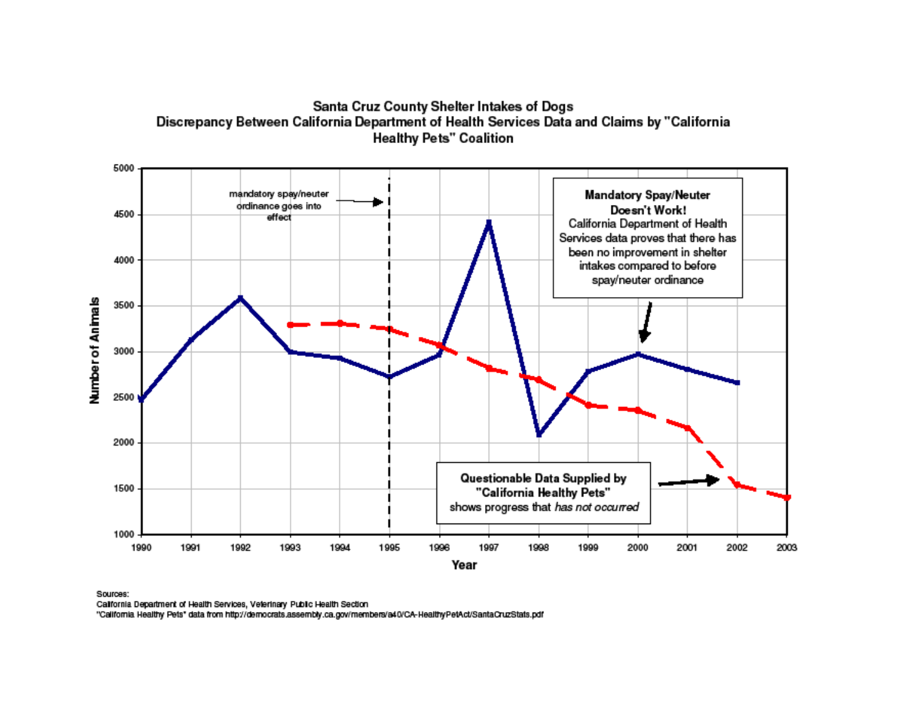

## Santa Cruz County Shelter Intakes of Dogs Discrepancy Between California Department of Health Services Data and Claims by "California **Healthy Pets" Coalition**

Sources:

California Department of Health Services, Veterinary Public Health Section

"California Healthy Pets" data from http://democrats.assembly.ca.gov/members/a40/CA-HealthyPetAct/SantaCruzStats.pdf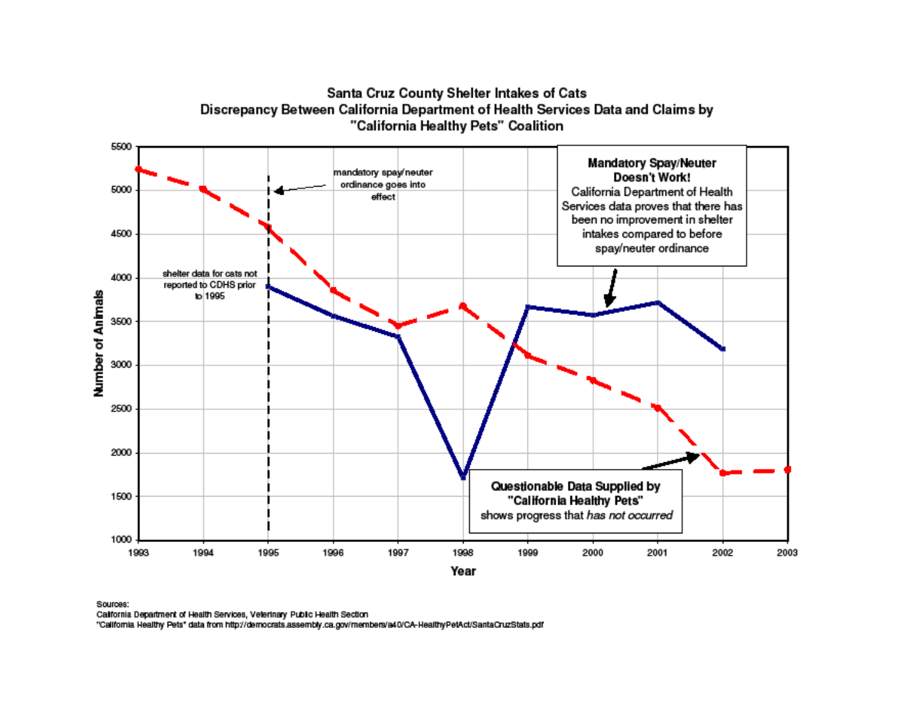Santa Cruz County Shelter Intakes of Cats Discrepancy Between California Department of Health Services Data and Claims by "California Healthy Pets" Coalition



Sources:

California Department of Health Services, Veterinary Public Health Section

"California Healthy Pets" data from http://democrats.assembly.ca.gov/members/a40/CA-HealthyPetAct/SantaCruzStats.pdf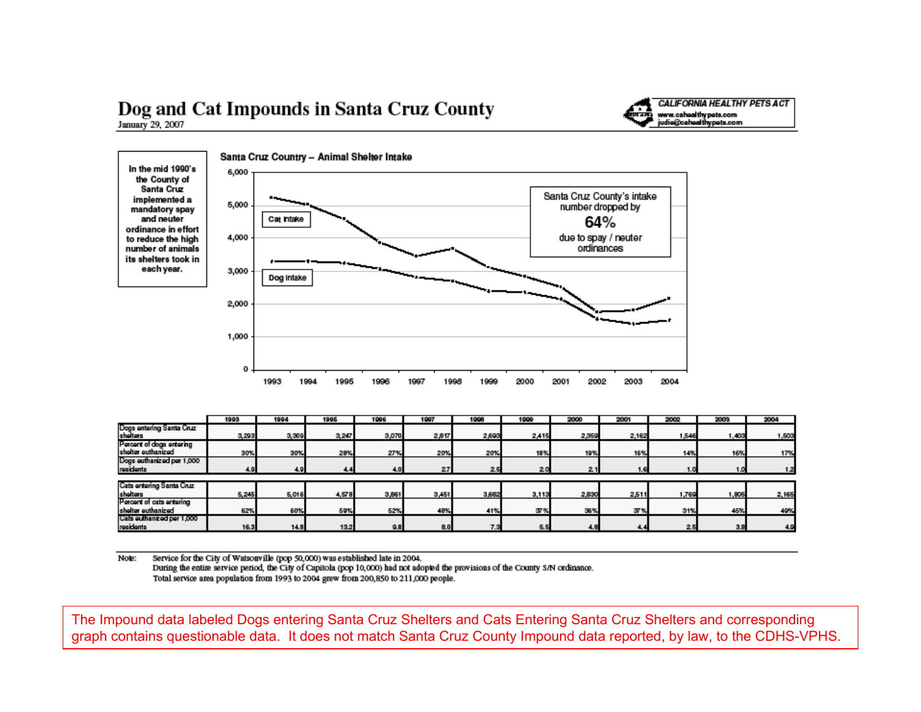## Dog and Cat Impounds in Santa Cruz County January 29, 2007



|                                                | 1993  | 1004  | 1995  | 1996       | 1997  | 1998  | 199   | 2000  | 2001  | 2002  | 2003  | 2004  |
|------------------------------------------------|-------|-------|-------|------------|-------|-------|-------|-------|-------|-------|-------|-------|
| Dogs entering Santa Cruz<br>shelters           | 3,293 | 3,309 | 3,247 | 3,070      | 2,817 | 2,693 | 2,415 | 2,359 | 2,162 | 1,546 | 1,403 | 1,503 |
| Percent of dogs entering<br>shelter euthanized | 30%   | 30%   | 28%   | 27%        | 20%   | 20%   | 18%   | 19%   | 16%   | 14%   | 16%   | 17%   |
| Dogs outhanized por 1,000<br>residents         | 4.9   | 4.9   | 4.4   | 4.0        | 27    | 2.5   | 20    | 2.1   | 1.6   | 1.0   | 1.0   |       |
|                                                |       |       |       |            |       |       |       |       |       |       |       |       |
| Cats entering Santa Cruz                       |       |       |       |            |       |       |       |       |       |       |       |       |
| shelters                                       | 5,245 | 5,016 | 4,578 | 3,861      | 3,451 | 3,682 | 3,113 | 2,830 | 2,511 | 1,769 | 1,805 | 2,165 |
| Percent of cats entering                       |       |       |       |            |       |       |       |       |       |       |       |       |
| shelter euthanized                             | 62%   | 60%   | 59%   | <b>52%</b> | 48%   | 41%   | 37%   | 36%   | 37%   | 31%   | 45%   | 49%   |
| Cats outhanized per 1,000                      |       |       |       |            |       |       |       |       |       |       |       |       |
| residents                                      | 16.3  | 14.8  | 13.2  | 9.8        | 8.0   | 7.3   | 5.5   | 4.8   | 4.4   | 2.5   | 3.8   | 4.9   |

**CALIFORNIA HEALTHY PETS ACT** 

www.cahoalthypots.com<br>judio@cahoalthypots.com

Note: Service for the City of Watsonville (pop 50,000) was established late in 2004. During the entire service period, the City of Capitola (pop 10,000) had not adopted the provisions of the County S/N ordinance. Total service area population from 1993 to 2004 grew from 200,850 to 211,000 people.

The Impound data labeled Dogs entering Santa Cruz Shelters and Cats Entering Santa Cruz Shelters and corresponding graph contains questionable data. It does not match Santa Cruz County Impound data reported, by law, to the CDHS-VPHS.